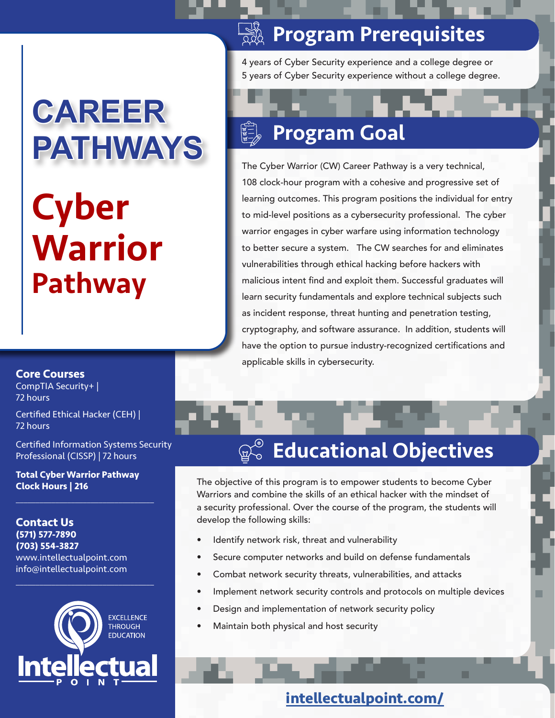# **CAREER PATHWAYS**

# **Cyber** Warrior Pathway

## **<b>RESE Program Prerequisites**

4 years of Cyber Security experience and a college degree or 5 years of Cyber Security experience without a college degree.

#### $\begin{matrix} \mathbb{R}^d \\ \mathbb{R}^d \\ \mathbb{R}^d \end{matrix}$ Program Goal

The Cyber Warrior (CW) Career Pathway is a very technical, 108 clock-hour program with a cohesive and progressive set of learning outcomes. This program positions the individual for entry to mid-level positions as a cybersecurity professional. The cyber warrior engages in cyber warfare using information technology to better secure a system. The CW searches for and eliminates vulnerabilities through ethical hacking before hackers with malicious intent find and exploit them. Successful graduates will learn security fundamentals and explore technical subjects such as incident response, threat hunting and penetration testing, cryptography, and software assurance. In addition, students will have the option to pursue industry-recognized certifications and applicable skills in cybersecurity.

#### **Core Courses**

CompTIA Security+ | 72 hours

Certified Ethical Hacker (CEH) | 72 hours

Certified Information Systems Security Professional (CISSP) | 72 hours

**Total Cyber Warrior Pathway Clock Hours | 216**

 $\overline{\mathcal{L}}$  , and the set of the set of the set of the set of the set of the set of the set of the set of the set of the set of the set of the set of the set of the set of the set of the set of the set of the set of the s

**Contact Us (571) 577-7890 (703) 554-3827** www.intellectualpoint.com info@intellectualpoint.com



 $\overline{\mathcal{L}}$  , and the set of the set of the set of the set of the set of the set of the set of the set of the set of the set of the set of the set of the set of the set of the set of the set of the set of the set of the s

## Educational Objectives

The objective of this program is to empower students to become Cyber Warriors and combine the skills of an ethical hacker with the mindset of a security professional. Over the course of the program, the students will develop the following skills:

- Identify network risk, threat and vulnerability
- Secure computer networks and build on defense fundamentals
- Combat network security threats, vulnerabilities, and attacks
- Implement network security controls and protocols on multiple devices
- Design and implementation of network security policy
- Maintain both physical and host security

### **intellectualpoint.com/**